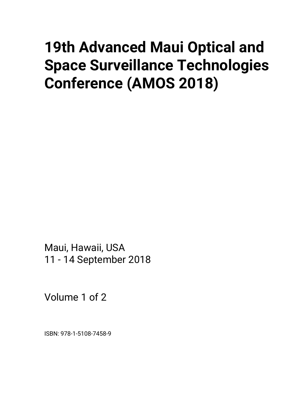# **19th Advanced Maui Optical and Space Surveillance Technologies Conference (AMOS 2018)**

Maui, Hawaii, USA 11 - 14 September 2018

Volume 1 of 2

ISBN: 978-1-5108-7458-9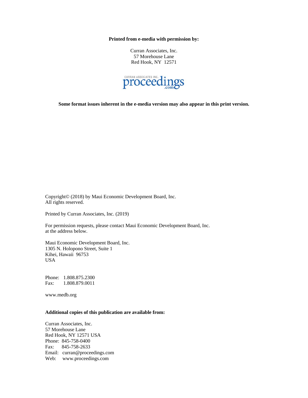**Printed from e-media with permission by:** 

Curran Associates, Inc. 57 Morehouse Lane Red Hook, NY 12571



**Some format issues inherent in the e-media version may also appear in this print version.** 

Copyright© (2018) by Maui Economic Development Board, Inc. All rights reserved.

Printed by Curran Associates, Inc. (2019)

For permission requests, please contact Maui Economic Development Board, Inc. at the address below.

Maui Economic Development Board, Inc. 1305 N. Holopono Street, Suite 1 Kihei, Hawaii 96753 USA

Phone: 1.808.875.2300 Fax: 1.808.879.0011

www.medb.org

#### **Additional copies of this publication are available from:**

Curran Associates, Inc. 57 Morehouse Lane Red Hook, NY 12571 USA Phone: 845-758-0400 Fax: 845-758-2633 Email: curran@proceedings.com Web: www.proceedings.com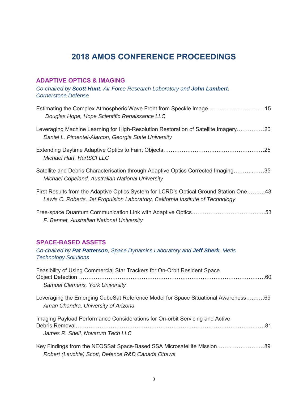# **2018 AMOS CONFERENCE PROCEEDINGS**

#### **ADAPTIVE OPTICS & IMAGING**

*Co-chaired by Scott Hunt, Air Force Research Laboratory and John Lambert, Cornerstone Defense* 

| Estimating the Complex Atmospheric Wave Front from Speckle Image15<br>Douglas Hope, Hope Scientific Renaissance LLC                                                      |
|--------------------------------------------------------------------------------------------------------------------------------------------------------------------------|
| Leveraging Machine Learning for High-Resolution Restoration of Satellite Imagery20<br>Daniel L. Pimentel-Alarcon, Georgia State University                               |
| Michael Hart, HartSCI LLC                                                                                                                                                |
| Satellite and Debris Characterisation through Adaptive Optics Corrected Imaging35<br>Michael Copeland, Australian National University                                    |
| First Results from the Adaptive Optics System for LCRD's Optical Ground Station One43<br>Lewis C. Roberts, Jet Propulsion Laboratory, California Institute of Technology |
| F. Bennet, Australian National University                                                                                                                                |
| <b>SPACE-BASED ASSETS</b><br>Co-chaired by Pat Patterson, Space Dynamics Laboratory and Jeff Sherk, Metis<br><b>Technology Solutions</b>                                 |
| Feasibility of Using Commercial Star Trackers for On-Orbit Resident Space<br>Samuel Clemens, York University                                                             |
| Leveraging the Emerging CubeSat Reference Model for Space Situational Awareness69<br>Aman Chandra, University of Arizona                                                 |
| Imaging Payload Performance Considerations for On-orbit Servicing and Active                                                                                             |
| James R. Shell, Novarum Tech LLC                                                                                                                                         |
| Key Findings from the NEOSSat Space-Based SSA Microsatellite Mission89<br>Robert (Lauchie) Scott, Defence R&D Canada Ottawa                                              |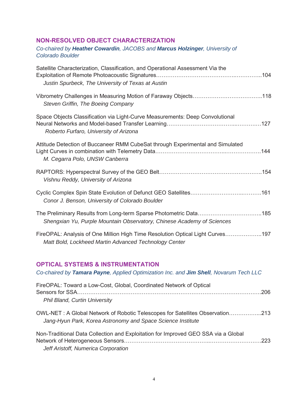#### **NON-RESOLVED OBJECT CHARACTERIZATION**

#### *Co-chaired by Heather Cowardin, JACOBS and Marcus Holzinger, University of Colorado Boulder*

| Satellite Characterization, Classification, and Operational Assessment Via the<br>Justin Spurbeck, The University of Texas at Austin        |
|---------------------------------------------------------------------------------------------------------------------------------------------|
| Steven Griffin, The Boeing Company                                                                                                          |
| Space Objects Classification via Light-Curve Measurements: Deep Convolutional<br>Roberto Furfaro, University of Arizona                     |
| Attitude Detection of Buccaneer RMM CubeSat through Experimental and Simulated<br>M. Cegarra Polo, UNSW Canberra                            |
| Vishnu Reddy, University of Arizona                                                                                                         |
| Conor J. Benson, University of Colorado Boulder                                                                                             |
| The Preliminary Results from Long-term Sparse Photometric Data185<br>Shengxian Yu, Purple Mountain Observatory, Chinese Academy of Sciences |
| FireOPAL: Analysis of One Million High Time Resolution Optical Light Curves197<br>Matt Bold, Lockheed Martin Advanced Technology Center     |
| <b>OPTICAL SYSTEMS &amp; INSTRUMENTATION</b><br>Co-chaired by Tamara Payne, Applied Optimization Inc. and Jim Shell, Novarum Tech LLC       |
| FireOPAL: Toward a Low-Cost, Global, Coordinated Network of Optical                                                                         |

*Phil Bland, Curtin University* 

OWL-NET : A Global Network of Robotic Telescopes for Satellites Observation……………...213 *Jang-Hyun Park, Korea Astronomy and Space Science Institute* 

| Non-Traditional Data Collection and Exploitation for Improved GEO SSA via a Global |  |
|------------------------------------------------------------------------------------|--|
|                                                                                    |  |
| Jeff Aristoff, Numerica Corporation                                                |  |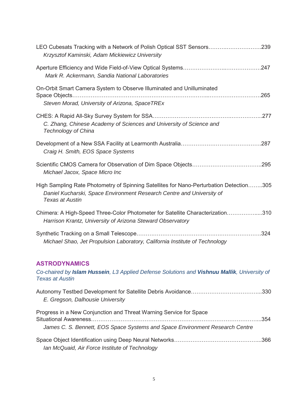| LEO Cubesats Tracking with a Network of Polish Optical SST Sensors239<br>Krzysztof Kaminski, Adam Mickiewicz University                                                                    |
|--------------------------------------------------------------------------------------------------------------------------------------------------------------------------------------------|
| Mark R. Ackermann, Sandia National Laboratories                                                                                                                                            |
| On-Orbit Smart Camera System to Observe Illuminated and Unilluminated<br>Steven Morad, University of Arizona, SpaceTREx                                                                    |
| C. Zhang, Chinese Academy of Sciences and University of Science and<br><b>Technology of China</b>                                                                                          |
| Craig H. Smith, EOS Space Systems                                                                                                                                                          |
| Michael Jacox, Space Micro Inc                                                                                                                                                             |
| High Sampling Rate Photometry of Spinning Satellites for Nano-Perturbation Detection305<br>Daniel Kucharski, Space Environment Research Centre and University of<br><b>Texas at Austin</b> |
| Chimera: A High-Speed Three-Color Photometer for Satellite Characterization310<br>Harrison Krantz, University of Arizona Steward Observatory                                               |
| Michael Shao, Jet Propulsion Laboratory, California Institute of Technology                                                                                                                |
| <b>ASTRODYNAMICS</b><br>Co-chaired by Islam Hussein, L3 Applied Defense Solutions and Vishnuu Mallik, University of<br><b>Texas at Austin</b>                                              |
| E. Gregson, Dalhousie University                                                                                                                                                           |
| Progress in a New Conjunction and Threat Warning Service for Space                                                                                                                         |
| James C. S. Bennett, EOS Space Systems and Space Environment Research Centre                                                                                                               |
|                                                                                                                                                                                            |

*Ian McQuaid, Air Force Institute of Technology*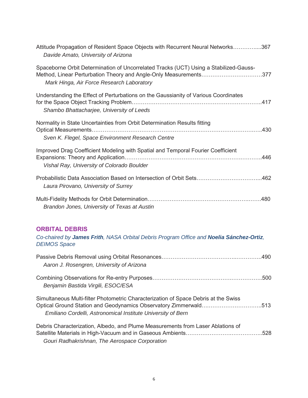| Attitude Propagation of Resident Space Objects with Recurrent Neural Networks367<br>Davide Amato, University of Arizona                                                                                 |
|---------------------------------------------------------------------------------------------------------------------------------------------------------------------------------------------------------|
| Spaceborne Orbit Determination of Uncorrelated Tracks (UCT) Using a Stabilized-Gauss-<br>Method, Linear Perturbation Theory and Angle-Only Measurements377<br>Mark Hinga, Air Force Research Laboratory |
| Understanding the Effect of Perturbations on the Gaussianity of Various Coordinates<br>Shambo Bhattacharjee, University of Leeds                                                                        |
| Normality in State Uncertainties from Orbit Determination Results fitting<br>Sven K. Flegel, Space Environment Research Centre                                                                          |
| Improved Drag Coefficient Modeling with Spatial and Temporal Fourier Coefficient<br>Vishal Ray, University of Colorado Boulder                                                                          |
| Probabilistic Data Association Based on Intersection of Orbit Sets462<br>Laura Pirovano, University of Surrey                                                                                           |
| Brandon Jones, University of Texas at Austin                                                                                                                                                            |

## **ORBITAL DEBRIS**

*Co-chaired by James Frith, NASA Orbital Debris Program Office and Noelia Sánchez-Ortiz, DEIMOS Space* 

| Aaron J. Rosengren, University of Arizona                                                                                                                                                                               |  |
|-------------------------------------------------------------------------------------------------------------------------------------------------------------------------------------------------------------------------|--|
| Benjamin Bastida Virgili, ESOC/ESA                                                                                                                                                                                      |  |
| Simultaneous Multi-filter Photometric Characterization of Space Debris at the Swiss<br>Optical Ground Station and Geodynamics Observatory Zimmerwald513<br>Emiliano Cordelli, Astronomical Institute University of Bern |  |
| Debris Characterization, Albedo, and Plume Measurements from Laser Ablations of<br>Gouri Radhakrishnan, The Aerospace Corporation                                                                                       |  |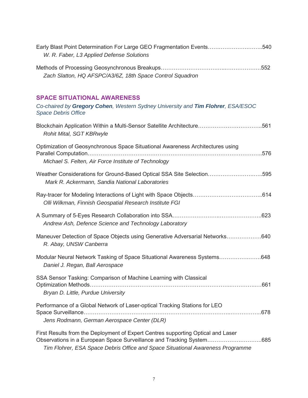| Early Blast Point Determination For Large GEO Fragmentation Events540<br>W. R. Faber, L3 Applied Defense Solutions                                                                                                                         |
|--------------------------------------------------------------------------------------------------------------------------------------------------------------------------------------------------------------------------------------------|
| Zach Slatton, HQ AFSPC/A3/6Z, 18th Space Control Squadron                                                                                                                                                                                  |
| <b>SPACE SITUATIONAL AWARENESS</b><br>Co-chaired by Gregory Cohen, Western Sydney University and Tim Flohrer, ESA/ESOC<br><b>Space Debris Office</b>                                                                                       |
| Blockchain Application Within a Multi-Sensor Satellite Architecture561<br>Rohit Mital, SGT KBRwyle                                                                                                                                         |
| Optimization of Geosynchronous Space Situational Awareness Architectures using<br>Michael S. Felten, Air Force Institute of Technology                                                                                                     |
| Weather Considerations for Ground-Based Optical SSA Site Selection595<br>Mark R. Ackermann, Sandia National Laboratories                                                                                                                   |
| Olli Wilkman, Finnish Geospatial Research Institute FGI                                                                                                                                                                                    |
| Andrew Ash, Defence Science and Technology Laboratory                                                                                                                                                                                      |
| Maneuver Detection of Space Objects using Generative Adversarial Networks640<br>R. Abay, UNSW Canberra                                                                                                                                     |
| Modular Neural Network Tasking of Space Situational Awareness Systems648<br>Daniel J. Regan, Ball Aerospace                                                                                                                                |
| SSA Sensor Tasking: Comparison of Machine Learning with Classical<br>Bryan D. Little, Purdue University                                                                                                                                    |
| Performance of a Global Network of Laser-optical Tracking Stations for LEO<br>Jens Rodmann, German Aerospace Center (DLR)                                                                                                                  |
| First Results from the Deployment of Expert Centres supporting Optical and Laser<br>Observations in a European Space Surveillance and Tracking System685<br>Tim Flohrer, ESA Space Debris Office and Space Situational Awareness Programme |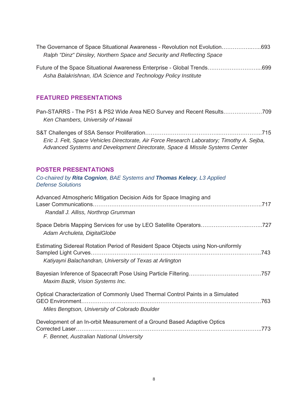| The Governance of Space Situational Awareness - Revolution not Evolution693 |  |
|-----------------------------------------------------------------------------|--|
| Ralph "Dinz" Dinsley, Northern Space and Security and Reflecting Space      |  |

| Future of the Space Situational Awareness Enterprise - Global Trends699 |  |
|-------------------------------------------------------------------------|--|
| Asha Balakrishnan, IDA Science and Technology Policy Institute          |  |

### **FEATURED PRESENTATIONS**

| Pan-STARRS - The PS1 & PS2 Wide Area NEO Survey and Recent Results709<br>Ken Chambers, University of Hawaii                                                                |
|----------------------------------------------------------------------------------------------------------------------------------------------------------------------------|
| Eric J. Felt, Space Vehicles Directorate, Air Force Research Laboratory; Timothy A. Seiba,<br>Advanced Systems and Development Directorate, Space & Missile Systems Center |
| <b>POSTER PRESENTATIONS</b><br>Co-chaired by Rita Cognion, BAE Systems and Thomas Kelecy, L3 Applied<br><b>Defense Solutions</b>                                           |
| Advanced Atmospheric Mitigation Decision Aids for Space Imaging and<br>Randall J. Alliss, Northrop Grumman                                                                 |
| Space Debris Mapping Services for use by LEO Satellite Operators727<br>Adam Archuleta, DigitalGlobe                                                                        |
| Estimating Sidereal Rotation Period of Resident Space Objects using Non-uniformly<br>Katiyayni Balachandran, University of Texas at Arlington                              |
| Maxim Bazik, Vision Systems Inc.                                                                                                                                           |
| Optical Characterization of Commonly Used Thermal Control Paints in a Simulated<br>Miles Bengtson, University of Colorado Boulder                                          |
| Development of an In-orbit Measurement of a Ground Based Adaptive Optics<br>F. Bennet, Australian National University                                                      |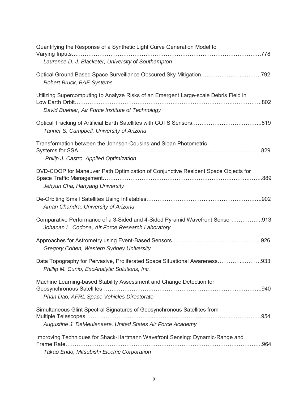| Quantifying the Response of a Synthetic Light Curve Generation Model to<br>Laurence D. J. Blacketer, University of Southampton                                                         |
|----------------------------------------------------------------------------------------------------------------------------------------------------------------------------------------|
| Optical Ground Based Space Surveillance Obscured Sky Mitigation792<br><b>Robert Bruck, BAE Systems</b>                                                                                 |
| Utilizing Supercomputing to Analyze Risks of an Emergent Large-scale Debris Field in<br>David Buehler, Air Force Institute of Technology                                               |
| Tanner S. Campbell, University of Arizona                                                                                                                                              |
| Transformation between the Johnson-Cousins and Sloan Photometric<br>Philip J. Castro, Applied Optimization                                                                             |
| DVD-COOP for Maneuver Path Optimization of Conjunctive Resident Space Objects for<br>889. [88] Space Traffic Management……………………………………………………………………………<br>Jehyun Cha, Hanyang University |
| Aman Chandra, University of Arizona                                                                                                                                                    |
| Comparative Performance of a 3-Sided and 4-Sided Pyramid Wavefront Sensor913<br>Johanan L. Codona, Air Force Research Laboratory                                                       |
| Gregory Cohen, Western Sydney University                                                                                                                                               |
| Data Topography for Pervasive, Proliferated Space Situational Awareness933<br>Phillip M. Cunio, ExoAnalytic Solutions, Inc.                                                            |
| Machine Learning-based Stability Assessment and Change Detection for<br>Phan Dao, AFRL Space Vehicles Directorate                                                                      |
| Simultaneous Glint Spectral Signatures of Geosynchronous Satellites from<br>Augustine J. DeMeulenaere, United States Air Force Academy                                                 |
| Improving Techniques for Shack-Hartmann Wavefront Sensing: Dynamic-Range and<br>.964                                                                                                   |
| Takao Endo, Mitsubishi Electric Corporation                                                                                                                                            |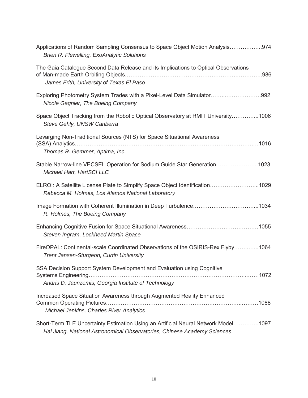| Applications of Random Sampling Consensus to Space Object Motion Analysis974<br><b>Brien R. Flewelling, ExoAnalytic Solutions</b>                              |
|----------------------------------------------------------------------------------------------------------------------------------------------------------------|
| The Gaia Catalogue Second Data Release and its Implications to Optical Observations<br>James Frith, University of Texas El Paso                                |
| Exploring Photometry System Trades with a Pixel-Level Data Simulator992<br>Nicole Gagnier, The Boeing Company                                                  |
| Space Object Tracking from the Robotic Optical Observatory at RMIT University1006<br>Steve Gehly, UNSW Canberra                                                |
| Levarging Non-Traditional Sources (NTS) for Space Situational Awareness<br>Thomas R. Gemmer, Aptima, Inc.                                                      |
| Stable Narrow-line VECSEL Operation for Sodium Guide Star Generation1023<br>Michael Hart, HartSCI LLC                                                          |
| ELROI: A Satellite License Plate to Simplify Space Object Identification1029<br>Rebecca M. Holmes, Los Alamos National Laboratory                              |
| R. Holmes, The Boeing Company                                                                                                                                  |
| Steven Ingram, Lockheed Martin Space                                                                                                                           |
| FireOPAL: Continental-scale Coordinated Observations of the OSIRIS-Rex Flyby1064<br>Trent Jansen-Sturgeon, Curtin University                                   |
| SSA Decision Support System Development and Evaluation using Cognitive<br>Andris D. Jaunzemis, Georgia Institute of Technology                                 |
| Increased Space Situation Awareness through Augmented Reality Enhanced<br>Michael Jenkins, Charles River Analytics                                             |
| Short-Term TLE Uncertainty Estimation Using an Artificial Neural Network Model1097<br>Hai Jiang, National Astronomical Observatories, Chinese Academy Sciences |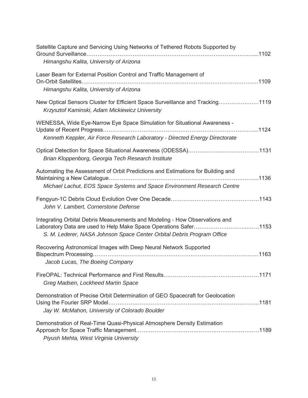| Satellite Capture and Servicing Using Networks of Tethered Robots Supported by                                                                                                                                            |
|---------------------------------------------------------------------------------------------------------------------------------------------------------------------------------------------------------------------------|
| Himangshu Kalita, University of Arizona                                                                                                                                                                                   |
| Laser Beam for External Position Control and Traffic Management of                                                                                                                                                        |
| Himangshu Kalita, University of Arizona                                                                                                                                                                                   |
| New Optical Sensors Cluster for Efficient Space Surveillance and Tracking1119<br>Krzysztof Kaminski, Adam Mickiewicz University                                                                                           |
| WENESSA, Wide Eye-Narrow Eye Space Simulation for Situational Awareness -<br>Kenneth Keppler, Air Force Research Laboratory - Directed Energy Directorate                                                                 |
| Brian Kloppenborg, Georgia Tech Research Institute                                                                                                                                                                        |
| Automating the Assessment of Orbit Predictions and Estimations for Building and<br>Michael Lachut, EOS Space Systems and Space Environment Research Centre                                                                |
| John V. Lambert, Cornerstone Defense                                                                                                                                                                                      |
| Integrating Orbital Debris Measurements and Modeling - How Observations and<br>Laboratory Data are used to Help Make Space Operations Safer1153<br>S. M. Lederer, NASA Johnson Space Center Orbital Debris Program Office |
| Recovering Astronomical Images with Deep Neural Network Supported<br>Jacob Lucas, The Boeing Company                                                                                                                      |
| Greg Madsen, Lockheed Martin Space                                                                                                                                                                                        |
| Demonstration of Precise Orbit Determination of GEO Spacecraft for Geolocation<br>Jay W. McMahon, University of Colorado Boulder                                                                                          |
| Demonstration of Real-Time Quasi-Physical Atmosphere Density Estimation<br>Piyush Mehta, West Virginia University                                                                                                         |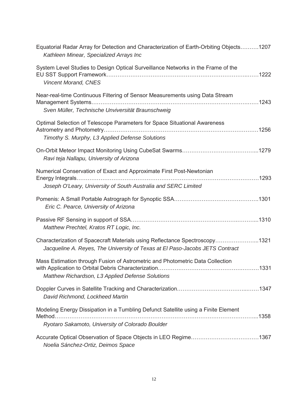| Equatorial Radar Array for Detection and Characterization of Earth-Orbiting Objects1207<br>Kathleen Minear, Specialized Arrays Inc                          |
|-------------------------------------------------------------------------------------------------------------------------------------------------------------|
| System Level Studies to Design Optical Surveillance Networks in the Frame of the<br><b>Vincent Morand, CNES</b>                                             |
| Near-real-time Continuous Filtering of Sensor Measurements using Data Stream<br>Sven Müller, Technische Unviversität Braunschweig                           |
| Optimal Selection of Telescope Parameters for Space Situational Awareness<br>Timothy S. Murphy, L3 Applied Defense Solutions                                |
| Ravi teja Nallapu, University of Arizona                                                                                                                    |
| Numerical Conservation of Exact and Approximate First Post-Newtonian<br>Joseph O'Leary, University of South Australia and SERC Limited                      |
| Eric C. Pearce, University of Arizona                                                                                                                       |
| Matthew Prechtel, Kratos RT Logic, Inc.                                                                                                                     |
| Characterization of Spacecraft Materials using Reflectance Spectroscopy1321<br>Jacqueline A. Reyes, The University of Texas at El Paso-Jacobs JETS Contract |
| Mass Estimation through Fusion of Astrometric and Photometric Data Collection<br>Matthew Richardson, L3 Applied Defense Solutions                           |
| David Richmond, Lockheed Martin                                                                                                                             |
| Modeling Energy Dissipation in a Tumbling Defunct Satellite using a Finite Element<br>Ryotaro Sakamoto, University of Colorado Boulder                      |
| Noelia Sánchez-Ortiz, Deimos Space                                                                                                                          |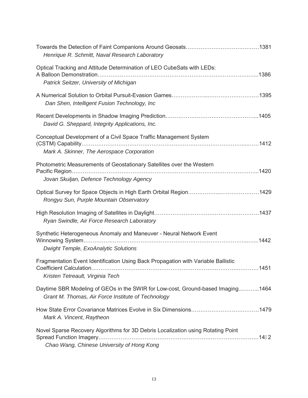| Henrique R. Schmitt, Naval Research Laboratory                                                                                                            |
|-----------------------------------------------------------------------------------------------------------------------------------------------------------|
| Optical Tracking and Attitude Determination of LEO CubeSats with LEDs:<br>Patrick Seitzer, University of Michigan                                         |
| Dan Shen, Intelligent Fusion Technology, Inc                                                                                                              |
| David G. Sheppard, Integrity Applications, Inc.                                                                                                           |
| Conceptual Development of a Civil Space Traffic Management System<br>Mark A. Skinner, The Aerospace Corporation                                           |
| Photometric Measurements of Geostationary Satellites over the Western<br>Jovan Skuljan, Defence Technology Agency                                         |
| Rongyu Sun, Purple Mountain Observatory                                                                                                                   |
| Ryan Swindle, Air Force Research Laboratory                                                                                                               |
| Synthetic Heterogeneous Anomaly and Maneuver - Neural Network Event<br><b>Dwight Temple, ExoAnalytic Solutions</b>                                        |
| Fragmentation Event Identification Using Back Propagation with Variable Ballistic<br>.1451<br>Coefficient Calculation<br>Kristen Tetreault, Virginia Tech |
| Daytime SBR Modeling of GEOs in the SWIR for Low-cost, Ground-based Imaging1464<br>Grant M. Thomas, Air Force Institute of Technology                     |
| Mark A. Vincent, Raytheon                                                                                                                                 |
| Novel Sparse Recovery Algorithms for 3D Debris Localization using Rotating Point<br>Chao Wang, Chinese University of Hong Kong                            |